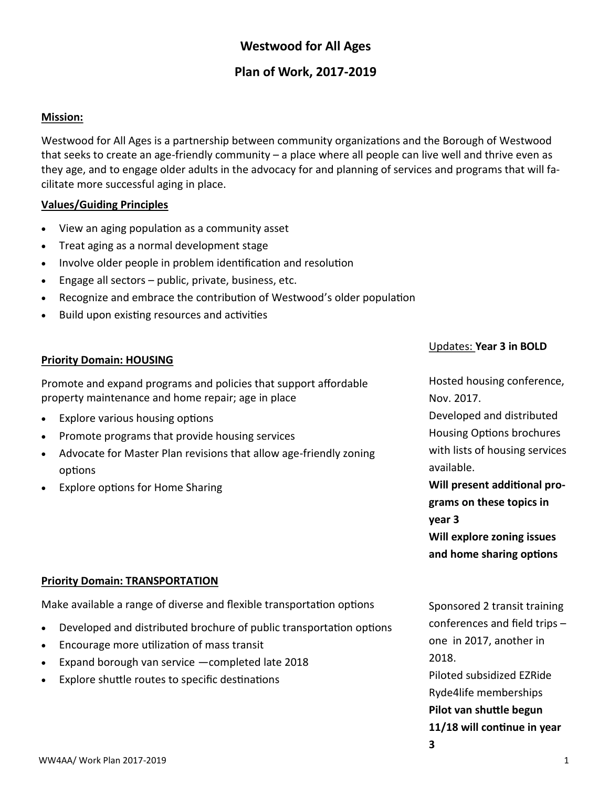# **Westwood for All Ages**

# **Plan of Work, 2017-2019**

#### **Mission:**

Westwood for All Ages is a partnership between community organizations and the Borough of Westwood that seeks to create an age-friendly community – a place where all people can live well and thrive even as they age, and to engage older adults in the advocacy for and planning of services and programs that will facilitate more successful aging in place.

### **Values/Guiding Principles**

- View an aging population as a community asset
- Treat aging as a normal development stage
- Involve older people in problem identification and resolution
- $\bullet$  Engage all sectors public, private, business, etc.
- Recognize and embrace the contribution of Westwood's older population
- Build upon existing resources and activities

### **Priority Domain: HOUSING**

Promote and expand programs and policies that support affordable property maintenance and home repair; age in place

- Explore various housing options
- Promote programs that provide housing services
- Advocate for Master Plan revisions that allow age-friendly zoning options
- Explore options for Home Sharing

### Updates: **Year 3 in BOLD**

Hosted housing conference, Nov. 2017. Developed and distributed Housing Options brochures with lists of housing services available. **Will present additional programs on these topics in** 

**year 3**

**3**

**Will explore zoning issues and home sharing options**

#### **Priority Domain: TRANSPORTATION**

Make available a range of diverse and flexible transportation options

- Developed and distributed brochure of public transportation options
- Encourage more utilization of mass transit
- Expand borough van service —completed late 2018
- Explore shuttle routes to specific destinations

Sponsored 2 transit training conferences and field trips – one in 2017, another in 2018. Piloted subsidized EZRide Ryde4life memberships

**Pilot van shuttle begun 11/18 will continue in year**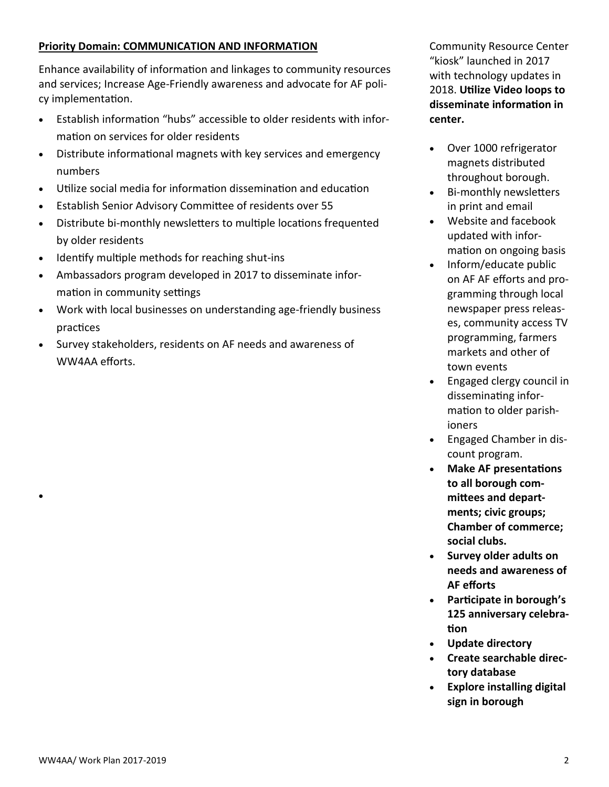### **Priority Domain: COMMUNICATION AND INFORMATION**

Enhance availability of information and linkages to community resources and services; Increase Age-Friendly awareness and advocate for AF policy implementation.

- Establish information "hubs" accessible to older residents with information on services for older residents
- Distribute informational magnets with key services and emergency numbers
- Utilize social media for information dissemination and education
- Establish Senior Advisory Committee of residents over 55
- Distribute bi-monthly newsletters to multiple locations frequented by older residents
- Identify multiple methods for reaching shut-ins
- Ambassadors program developed in 2017 to disseminate information in community settings
- Work with local businesses on understanding age-friendly business practices
- Survey stakeholders, residents on AF needs and awareness of WW4AA efforts.

Community Resource Center "kiosk" launched in 2017 with technology updates in 2018. **Utilize Video loops to disseminate information in center.**

- Over 1000 refrigerator magnets distributed throughout borough.
- Bi-monthly newsletters in print and email
- Website and facebook updated with information on ongoing basis
- Inform/educate public on AF AF efforts and programming through local newspaper press releases, community access TV programming, farmers markets and other of town events
- Engaged clergy council in disseminating information to older parishioners
- Engaged Chamber in discount program.
- **Make AF presentations to all borough committees and departments; civic groups; Chamber of commerce; social clubs.**
- **Survey older adults on needs and awareness of AF efforts**
- **Participate in borough's 125 anniversary celebration**
- **Update directory**
- **Create searchable directory database**
- **Explore installing digital sign in borough**

 $\bullet$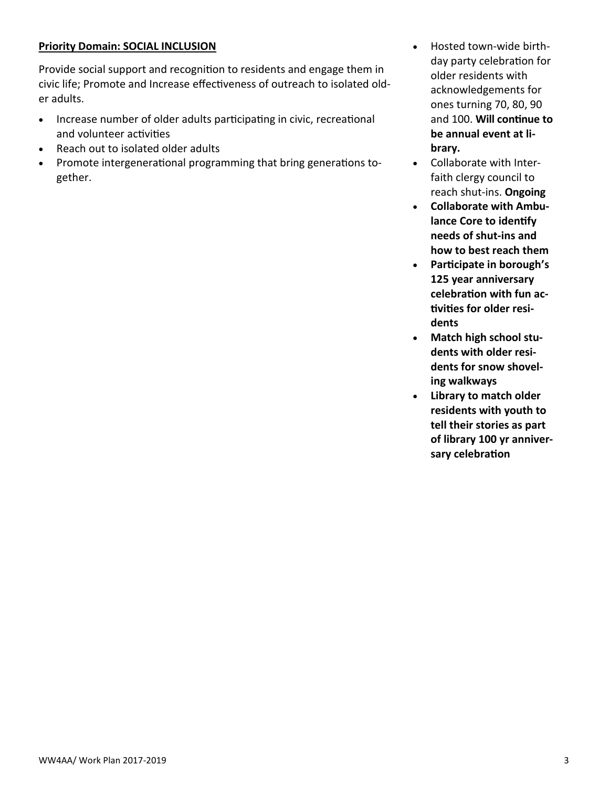### **Priority Domain: SOCIAL INCLUSION**

Provide social support and recognition to residents and engage them in civic life; Promote and Increase effectiveness of outreach to isolated older adults.

- Increase number of older adults participating in civic, recreational and volunteer activities
- Reach out to isolated older adults
- Promote intergenerational programming that bring generations together.
- Hosted town-wide birthday party celebration for older residents with acknowledgements for ones turning 70, 80, 90 and 100. **Will continue to be annual event at library.**
- Collaborate with Interfaith clergy council to reach shut-ins. **Ongoing**
- **Collaborate with Ambulance Core to identify needs of shut-ins and how to best reach them**
- **Participate in borough's 125 year anniversary celebration with fun activities for older residents**
- **Match high school students with older residents for snow shoveling walkways**
- **Library to match older residents with youth to tell their stories as part of library 100 yr anniversary celebration**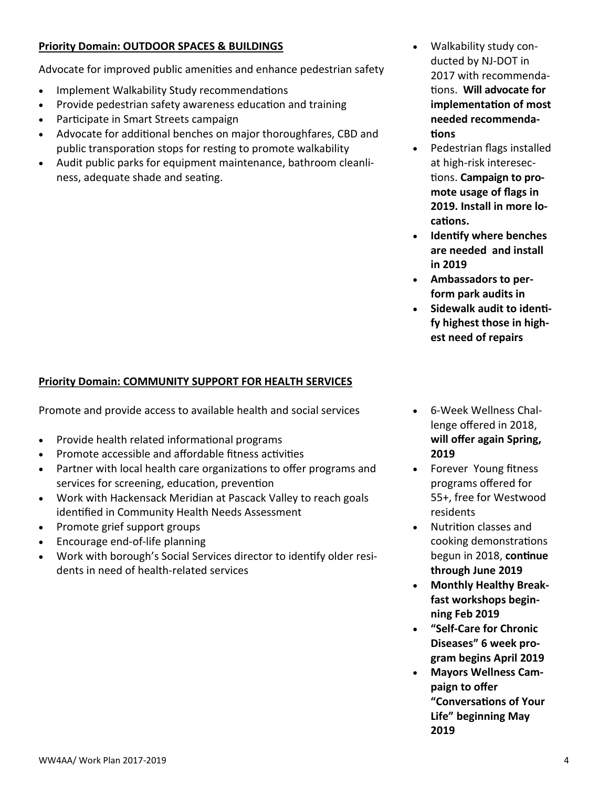## **Priority Domain: OUTDOOR SPACES & BUILDINGS**

Advocate for improved public amenities and enhance pedestrian safety

- Implement Walkability Study recommendations
- Provide pedestrian safety awareness education and training
- Participate in Smart Streets campaign
- Advocate for additional benches on major thoroughfares, CBD and public transporation stops for resting to promote walkability
- Audit public parks for equipment maintenance, bathroom cleanliness, adequate shade and seating.
- Walkability study conducted by NJ-DOT in 2017 with recommendations. **Will advocate for implementation of most needed recommendations**
- Pedestrian flags installed at high-risk interesections. **Campaign to promote usage of flags in 2019. Install in more locations.**
- **Identify where benches are needed and install in 2019**
- **Ambassadors to perform park audits in**
- **Sidewalk audit to identify highest those in highest need of repairs**

#### **Priority Domain: COMMUNITY SUPPORT FOR HEALTH SERVICES**

Promote and provide access to available health and social services

- Provide health related informational programs
- Promote accessible and affordable fitness activities
- Partner with local health care organizations to offer programs and services for screening, education, prevention
- Work with Hackensack Meridian at Pascack Valley to reach goals identified in Community Health Needs Assessment
- Promote grief support groups
- Encourage end-of-life planning
- Work with borough's Social Services director to identify older residents in need of health-related services
- 6-Week Wellness Challenge offered in 2018, **will offer again Spring, 2019**
- Forever Young fitness programs offered for 55+, free for Westwood residents
- Nutrition classes and cooking demonstrations begun in 2018, **continue through June 2019**
- **Monthly Healthy Breakfast workshops beginning Feb 2019**
- **"Self-Care for Chronic Diseases" 6 week program begins April 2019**
- **Mayors Wellness Campaign to offer "Conversations of Your Life" beginning May 2019**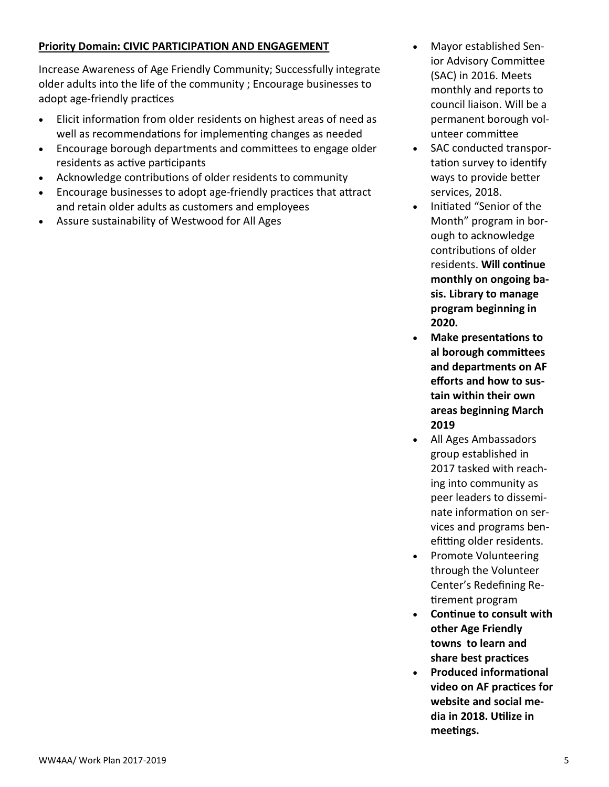### **Priority Domain: CIVIC PARTICIPATION AND ENGAGEMENT**

Increase Awareness of Age Friendly Community; Successfully integrate older adults into the life of the community ; Encourage businesses to adopt age-friendly practices

- Elicit information from older residents on highest areas of need as well as recommendations for implementing changes as needed
- Encourage borough departments and committees to engage older residents as active participants
- Acknowledge contributions of older residents to community
- Encourage businesses to adopt age-friendly practices that attract and retain older adults as customers and employees
- Assure sustainability of Westwood for All Ages
- Mayor established Senior Advisory Committee (SAC) in 2016. Meets monthly and reports to council liaison. Will be a permanent borough volunteer committee
- SAC conducted transportation survey to identify ways to provide better services, 2018.
- Initiated "Senior of the Month" program in borough to acknowledge contributions of older residents. **Will continue monthly on ongoing basis. Library to manage program beginning in 2020.**
- **Make presentations to al borough committees and departments on AF efforts and how to sustain within their own areas beginning March 2019**
- All Ages Ambassadors group established in 2017 tasked with reaching into community as peer leaders to disseminate information on services and programs benefitting older residents.
- Promote Volunteering through the Volunteer Center's Redefining Retirement program
- **Continue to consult with other Age Friendly towns to learn and share best practices**
- **Produced informational video on AF practices for website and social media in 2018. Utilize in meetings.**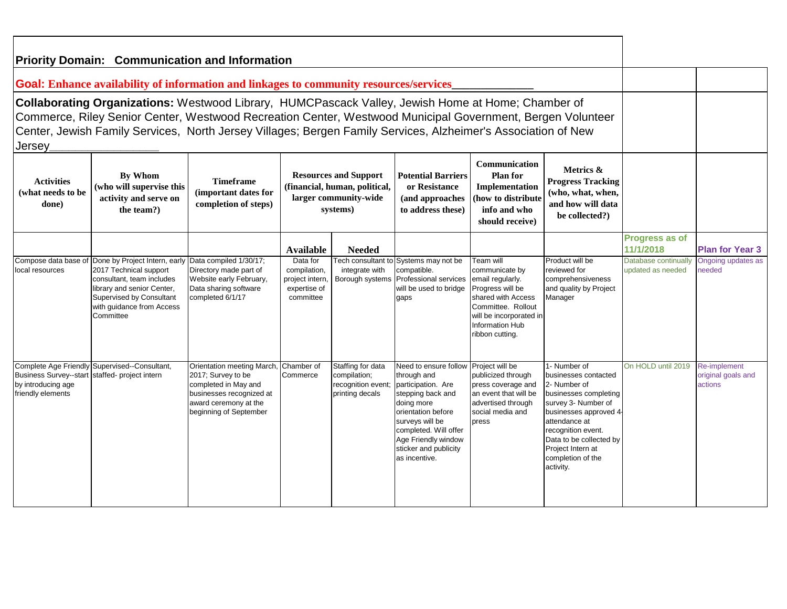| <b>Priority Domain: Communication and Information</b>                                                                                                                                                                                                                                                                                                                                                                                                                                                                                                                                                                   |                                                                                                                                                                                                 |                                                                                                                                                         |                                                                          |                                                                           |                                                                                                                                                                                                                                  |                                                                                                                                                                                                |                                                                                                                                                                                                                                                        |                                           |                                               |
|-------------------------------------------------------------------------------------------------------------------------------------------------------------------------------------------------------------------------------------------------------------------------------------------------------------------------------------------------------------------------------------------------------------------------------------------------------------------------------------------------------------------------------------------------------------------------------------------------------------------------|-------------------------------------------------------------------------------------------------------------------------------------------------------------------------------------------------|---------------------------------------------------------------------------------------------------------------------------------------------------------|--------------------------------------------------------------------------|---------------------------------------------------------------------------|----------------------------------------------------------------------------------------------------------------------------------------------------------------------------------------------------------------------------------|------------------------------------------------------------------------------------------------------------------------------------------------------------------------------------------------|--------------------------------------------------------------------------------------------------------------------------------------------------------------------------------------------------------------------------------------------------------|-------------------------------------------|-----------------------------------------------|
|                                                                                                                                                                                                                                                                                                                                                                                                                                                                                                                                                                                                                         | Goal: Enhance availability of information and linkages to community resources/services                                                                                                          |                                                                                                                                                         |                                                                          |                                                                           |                                                                                                                                                                                                                                  |                                                                                                                                                                                                |                                                                                                                                                                                                                                                        |                                           |                                               |
| Collaborating Organizations: Westwood Library, HUMCPascack Valley, Jewish Home at Home; Chamber of<br>Commerce, Riley Senior Center, Westwood Recreation Center, Westwood Municipal Government, Bergen Volunteer<br>Center, Jewish Family Services, North Jersey Villages; Bergen Family Services, Alzheimer's Association of New<br>Jersey                                                                                                                                                                                                                                                                             |                                                                                                                                                                                                 |                                                                                                                                                         |                                                                          |                                                                           |                                                                                                                                                                                                                                  |                                                                                                                                                                                                |                                                                                                                                                                                                                                                        |                                           |                                               |
| <b>Communication</b><br>Metrics &<br>By Whom<br><b>Resources and Support</b><br><b>Potential Barriers</b><br><b>Plan for</b><br><b>Timeframe</b><br><b>Progress Tracking</b><br><b>Activities</b><br>(financial, human, political,<br>(who will supervise this<br>or Resistance<br>Implementation<br>(important dates for<br>(what needs to be<br>(who, what, when,<br>larger community-wide<br>activity and serve on<br>how to distribute<br>(and approaches<br>completion of steps)<br>and how will data<br>done)<br>the team?)<br>to address these)<br>info and who<br>systems)<br>be collected?)<br>should receive) |                                                                                                                                                                                                 |                                                                                                                                                         |                                                                          |                                                                           |                                                                                                                                                                                                                                  |                                                                                                                                                                                                |                                                                                                                                                                                                                                                        |                                           |                                               |
|                                                                                                                                                                                                                                                                                                                                                                                                                                                                                                                                                                                                                         |                                                                                                                                                                                                 |                                                                                                                                                         | <b>Available</b>                                                         | <b>Needed</b>                                                             | Progress as of<br>11/1/2018                                                                                                                                                                                                      | <b>Plan for Year 3</b>                                                                                                                                                                         |                                                                                                                                                                                                                                                        |                                           |                                               |
| Compose data base of<br>local resources                                                                                                                                                                                                                                                                                                                                                                                                                                                                                                                                                                                 | Done by Project Intern, early<br>2017 Technical support<br>consultant, team includes<br>library and senior Center,<br><b>Supervised by Consultant</b><br>with guidance from Access<br>Committee | Data compiled 1/30/17;<br>Directory made part of<br>Website early February,<br>Data sharing software<br>completed 6/1/17                                | Data for<br>compilation,<br>project intern,<br>expertise of<br>committee | integrate with<br>Borough systems                                         | Fech consultant to Systems may not be<br>compatible.<br>Professional services<br>will be used to bridge<br>gaps                                                                                                                  | <b>Team</b> will<br>communicate by<br>email regularly.<br>Progress will be<br>shared with Access<br>Committee. Rollout<br>will be incorporated in<br><b>Information Hub</b><br>ribbon cutting. | Product will be<br>reviewed for<br>comprehensiveness<br>and quality by Project<br>Manager                                                                                                                                                              | Database continually<br>updated as needed | Ongoing updates as<br>needed                  |
| Complete Age Friendly<br><b>Business Survey--start</b><br>by introducing age<br>friendly elements                                                                                                                                                                                                                                                                                                                                                                                                                                                                                                                       | Supervised--Consultant,<br>staffed- project intern                                                                                                                                              | Orientation meeting March.<br>2017; Survey to be<br>completed in May and<br>businesses recognized at<br>award ceremony at the<br>beginning of September | Chamber of<br>Commerce                                                   | Staffing for data<br>compilation;<br>recognition event<br>printing decals | Need to ensure follow<br>through and<br>participation. Are<br>stepping back and<br>doing more<br>orientation before<br>surveys will be<br>completed. Will offer<br>Age Friendly window<br>sticker and publicity<br>as incentive. | Project will be<br>publicized through<br>press coverage and<br>an event that will be<br>advertised through<br>social media and<br>press                                                        | 1- Number of<br>businesses contacted<br>2- Number of<br>businesses completing<br>survey 3- Number of<br>businesses approved 4<br>attendance at<br>recognition event.<br>Data to be collected by<br>Project Intern at<br>completion of the<br>activity. | On HOLD until 2019                        | Re-implement<br>original goals and<br>actions |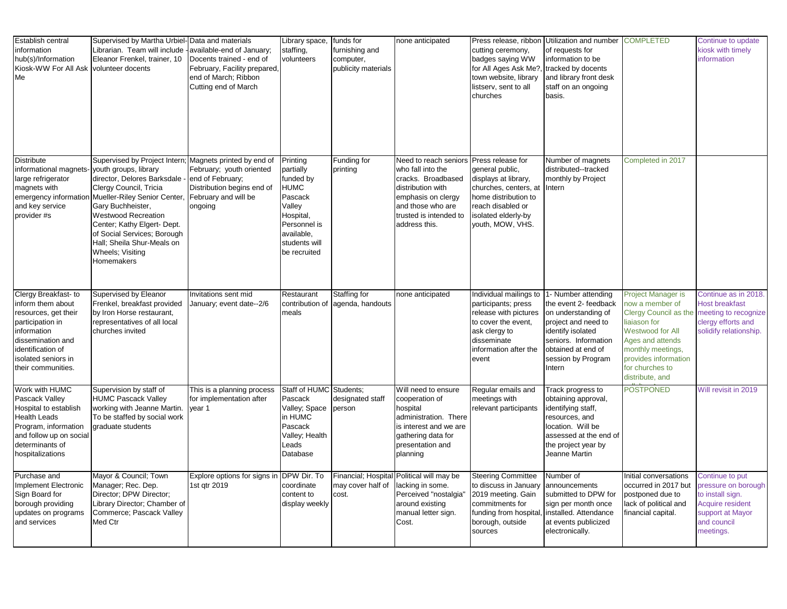| Establish central<br>information<br>hub(s)/Information<br>Kiosk-WW For All Ask<br>Me                                                                                                        | Supervised by Martha Urbiel-Data and materials<br>Librarian. Team will include<br>Eleanor Frenkel, trainer, 10<br>volunteer docents                                                                                                                                                                      | available-end of January;<br>Docents trained - end of<br>February, Facility prepared,<br>end of March; Ribbon<br>Cutting end of March      | Library space,<br>staffing,<br>volunteers                                                                                                          | funds for<br>furnishing and<br>computer,<br>publicity materials | none anticipated                                                                                                                                                            | Press release, ribbon<br>cutting ceremony,<br>badges saying WW<br>for All Ages Ask Me?<br>town website, library<br>listserv, sent to all<br>churches                          | Utilization and number<br>of requests for<br>information to be<br>tracked by docents<br>and library front desk<br>staff on an ongoing<br>basis.                                               | <b>COMPLETED</b>                                                                                                                                                                                          | Continue to update<br>kiosk with timely<br>information                                                                         |
|---------------------------------------------------------------------------------------------------------------------------------------------------------------------------------------------|----------------------------------------------------------------------------------------------------------------------------------------------------------------------------------------------------------------------------------------------------------------------------------------------------------|--------------------------------------------------------------------------------------------------------------------------------------------|----------------------------------------------------------------------------------------------------------------------------------------------------|-----------------------------------------------------------------|-----------------------------------------------------------------------------------------------------------------------------------------------------------------------------|-------------------------------------------------------------------------------------------------------------------------------------------------------------------------------|-----------------------------------------------------------------------------------------------------------------------------------------------------------------------------------------------|-----------------------------------------------------------------------------------------------------------------------------------------------------------------------------------------------------------|--------------------------------------------------------------------------------------------------------------------------------|
| <b>Distribute</b><br>informational magnets- youth groups, library<br>large refrigerator<br>magnets with<br>emergency informatio<br>and key service<br>provider #s                           | Supervised by Project Intern<br>director, Delores Barksdale -<br>Clergy Council, Tricia<br>Mueller-Riley Senior Center,<br>Gary Buchheister,<br><b>Westwood Recreation</b><br>Center; Kathy Elgert- Dept.<br>of Social Services; Borough<br>Hall; Sheila Shur-Meals on<br>Wheels; Visiting<br>Homemakers | Magnets printed by end of<br>February; youth oriented<br>end of February;<br>Distribution begins end of<br>February and will be<br>ongoing | Printing<br>partially<br>funded by<br><b>HUMC</b><br>Pascack<br>Valley<br>Hospital,<br>Personnel is<br>available.<br>students will<br>be recruited | Funding for<br>printing                                         | Need to reach seniors<br>who fall into the<br>cracks. Broadbased<br>distribution with<br>emphasis on clergy<br>and those who are<br>trusted is intended to<br>address this. | Press release for<br>general public,<br>displays at library,<br>churches, centers, at<br>home distribution to<br>reach disabled or<br>isolated elderly-by<br>youth, MOW, VHS. | Number of magnets<br>distributed--tracked<br>monthly by Project<br>Intern                                                                                                                     | Completed in 2017                                                                                                                                                                                         |                                                                                                                                |
| Clergy Breakfast- to<br>inform them about<br>resources, get their<br>participation in<br>information<br>dissemination and<br>identification of<br>isolated seniors in<br>their communities. | Supervised by Eleanor<br>Frenkel, breakfast provided<br>by Iron Horse restaurant,<br>representatives of all local<br>churches invited                                                                                                                                                                    | Invitations sent mid<br>January; event date--2/6                                                                                           | Restaurant<br>contribution of<br>meals                                                                                                             | Staffing for<br>agenda, handouts                                | none anticipated                                                                                                                                                            | Individual mailings to<br>participants; press<br>release with pictures<br>to cover the event,<br>ask clergy to<br>disseminate<br>information after the<br>event               | 1- Number attending<br>the event 2- feedback<br>on understanding of<br>project and need to<br>identify isolated<br>seniors. Information<br>obtained at end of<br>session by Program<br>Intern | Project Manager is<br>now a member of<br>Clergy Council as the<br>liaiason for<br>Westwood for All<br>Ages and attends<br>monthly meetings,<br>provides information<br>for churches to<br>distribute, and | Continue as in 2018.<br><b>Host breakfast</b><br>meeting to recognize<br>clergy efforts and<br>solidify relationship.          |
| Work with HUMC<br>Pascack Valley<br>Hospital to establish<br><b>Health Leads</b><br>Program, information<br>and follow up on social<br>determinants of<br>hospitalizations                  | Supervision by staff of<br><b>HUMC Pascack Valley</b><br>working with Jeanne Martin.<br>To be staffed by social work<br>graduate students                                                                                                                                                                | This is a planning process<br>for implementation after<br>year 1                                                                           | Staff of HUMC Students;<br>Pascack<br>Valley; Space<br>in HUMC<br>Pascack<br>Valley; Health<br>Leads<br>Database                                   | designated staff<br>person                                      | Will need to ensure<br>cooperation of<br>hospital<br>administration. There<br>is interest and we are<br>gathering data for<br>presentation and<br>planning                  | Regular emails and<br>meetings with<br>relevant participants                                                                                                                  | Track progress to<br>obtaining approval,<br>identifying staff,<br>resources, and<br>location. Will be<br>assessed at the end of<br>the project year by<br>Jeanne Martin                       | <b>POSTPONED</b>                                                                                                                                                                                          | Will revisit in 2019                                                                                                           |
| Purchase and<br>Implement Electronic<br>Sign Board for<br>borough providing<br>updates on programs<br>and services                                                                          | Mayor & Council; Town<br>Manager; Rec. Dep.<br>Director; DPW Director;<br>Library Director; Chamber of<br>Commerce; Pascack Valley<br>Med Ctr                                                                                                                                                            | Explore options for signs in<br>1st qtr 2019                                                                                               | DPW Dir. To<br>coordinate<br>content to<br>display weekly                                                                                          | Financial; Hospital<br>may cover half of<br>cost.               | Political will may be<br>lacking in some.<br>Perceived "nostalgia"<br>around existing<br>manual letter sign.<br>Cost.                                                       | <b>Steering Committee</b><br>to discuss in January<br>2019 meeting. Gain<br>commitments for<br>funding from hospital<br>borough, outside<br>sources                           | Number of<br>announcements<br>submitted to DPW for<br>sign per month once<br>installed. Attendance<br>at events publicized<br>electronically.                                                 | Initial conversations<br>occurred in 2017 but<br>postponed due to<br>lack of political and<br>financial capital.                                                                                          | Continue to put<br>pressure on borough<br>to install sign.<br>Acquire resident<br>support at Mayor<br>and council<br>meetings. |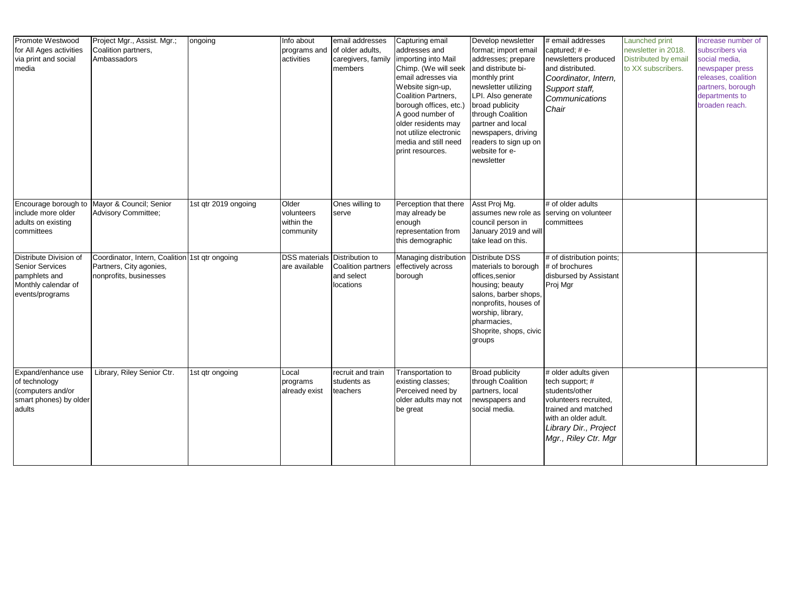| Promote Westwood<br>for All Ages activities<br>via print and social<br>media                                | Project Mgr., Assist. Mgr.;<br>Coalition partners,<br>Ambassadors                                   | ongoing              | Info about<br>programs and<br>activities       | email addresses<br>of older adults,<br>caregivers, family<br>members                         | Capturing email<br>addresses and<br>importing into Mail<br>Chimp. (We will seek<br>email adresses via<br>Website sign-up,<br>Coalition Partners,<br>borough offices, etc.)<br>A good number of<br>older residents may<br>not utilize electronic<br>media and still need<br>print resources. | Develop newsletter<br>format; import email<br>addresses; prepare<br>and distribute bi-<br>monthly print<br>newsletter utilizing<br>LPI. Also generate<br>broad publicity<br>through Coalition<br>partner and local<br>newspapers, driving<br>readers to sign up on<br>website for e-<br>newsletter | # email addresses<br>captured; # e-<br>newsletters produced<br>and distributed.<br>Coordinator, Intern,<br>Support staff,<br>Communications<br>Chair                               | Launched print<br>newsletter in 2018.<br>Distributed by email<br>to XX subscribers. | Increase number of<br>subscribers via<br>social media,<br>newspaper press<br>releases, coalition<br>partners, borough<br>departments to<br>broaden reach. |
|-------------------------------------------------------------------------------------------------------------|-----------------------------------------------------------------------------------------------------|----------------------|------------------------------------------------|----------------------------------------------------------------------------------------------|---------------------------------------------------------------------------------------------------------------------------------------------------------------------------------------------------------------------------------------------------------------------------------------------|----------------------------------------------------------------------------------------------------------------------------------------------------------------------------------------------------------------------------------------------------------------------------------------------------|------------------------------------------------------------------------------------------------------------------------------------------------------------------------------------|-------------------------------------------------------------------------------------|-----------------------------------------------------------------------------------------------------------------------------------------------------------|
| Encourage borough to<br>include more older<br>adults on existing<br>committees                              | Mayor & Council; Senior<br><b>Advisory Committee;</b>                                               | 1st qtr 2019 ongoing | Older<br>volunteers<br>within the<br>community | Ones willing to<br>serve                                                                     | Perception that there<br>may already be<br>enough<br>representation from<br>this demographic                                                                                                                                                                                                | Asst Proj Mg.<br>assumes new role as serving on volunteer<br>council person in<br>January 2019 and will<br>take lead on this.                                                                                                                                                                      | # of older adults<br>committees                                                                                                                                                    |                                                                                     |                                                                                                                                                           |
| Distribute Division of<br><b>Senior Services</b><br>pamphlets and<br>Monthly calendar of<br>events/programs | Coordinator, Intern, Coalition 1st qtr ongoing<br>Partners, City agonies,<br>nonprofits, businesses |                      | are available                                  | <b>DSS materials Distribution to</b><br><b>Coalition partners</b><br>and select<br>locations | Managing distribution<br>effectively across<br>borough                                                                                                                                                                                                                                      | <b>Distribute DSS</b><br>materials to borough<br>offices, senior<br>housing; beauty<br>salons, barber shops,<br>nonprofits, houses of<br>worship, library,<br>pharmacies,<br>Shoprite, shops, civic<br>groups                                                                                      | # of distribution points;<br># of brochures<br>disbursed by Assistant<br>Proj Mgr                                                                                                  |                                                                                     |                                                                                                                                                           |
| Expand/enhance use<br>of technology<br>(computers and/or<br>smart phones) by older<br>adults                | Library, Riley Senior Ctr.                                                                          | 1st qtr ongoing      | Local<br>programs<br>already exist             | recruit and train<br>students as<br>teachers                                                 | Transportation to<br>existing classes;<br>Perceived need by<br>older adults may not<br>be great                                                                                                                                                                                             | <b>Broad publicity</b><br>through Coalition<br>partners, local<br>newspapers and<br>social media.                                                                                                                                                                                                  | # older adults given<br>tech support; #<br>students/other<br>volunteers recruited,<br>trained and matched<br>with an older adult.<br>Library Dir., Project<br>Mgr., Riley Ctr. Mgr |                                                                                     |                                                                                                                                                           |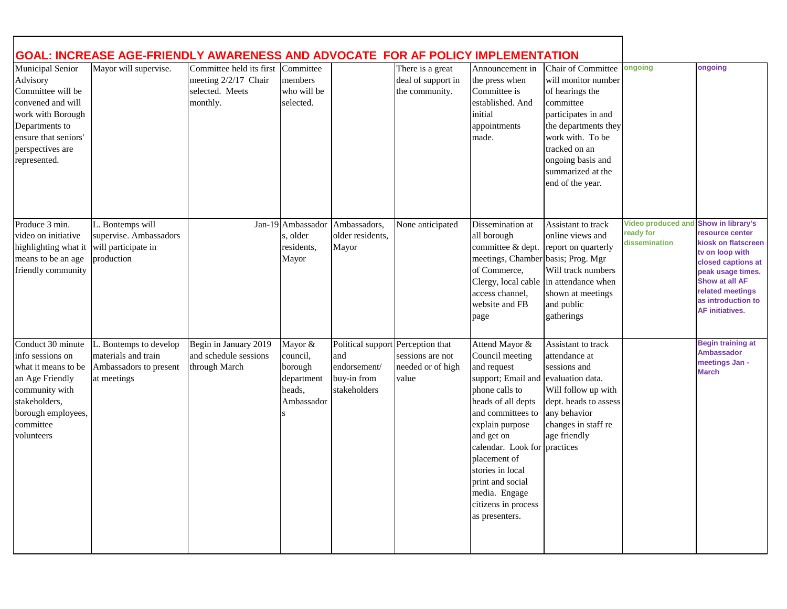|                                                                                                                                                                           | GOAL: INCREASE AGE-FRIENDLY AWARENESS AND ADVOCATE FOR AF POLICY IMPLEMENTATION     |                                                                                           |                                                                      |                                                                                         |                                                          |                                                                                                                                                                                                                                                                                                                                         |                                                                                                                                                                                                                             |                                                         |                                                                                                                                                                                                                 |
|---------------------------------------------------------------------------------------------------------------------------------------------------------------------------|-------------------------------------------------------------------------------------|-------------------------------------------------------------------------------------------|----------------------------------------------------------------------|-----------------------------------------------------------------------------------------|----------------------------------------------------------|-----------------------------------------------------------------------------------------------------------------------------------------------------------------------------------------------------------------------------------------------------------------------------------------------------------------------------------------|-----------------------------------------------------------------------------------------------------------------------------------------------------------------------------------------------------------------------------|---------------------------------------------------------|-----------------------------------------------------------------------------------------------------------------------------------------------------------------------------------------------------------------|
| Municipal Senior<br>Advisory<br>Committee will be<br>convened and will<br>work with Borough<br>Departments to<br>ensure that seniors'<br>perspectives are<br>represented. | Mayor will supervise.                                                               | Committee held its first Committee<br>meeting 2/2/17 Chair<br>selected. Meets<br>monthly. | members<br>who will be<br>selected.                                  |                                                                                         | There is a great<br>deal of support in<br>the community. | Announcement in<br>the press when<br>Committee is<br>established. And<br>initial<br>appointments<br>made.                                                                                                                                                                                                                               | Chair of Committee<br>will monitor number<br>of hearings the<br>committee<br>participates in and<br>the departments they<br>work with. To be<br>tracked on an<br>ongoing basis and<br>summarized at the<br>end of the year. | ongoing                                                 | ongoing                                                                                                                                                                                                         |
| Produce 3 min.<br>video on initiative<br>highlighting what it<br>means to be an age<br>friendly community                                                                 | L. Bontemps will<br>supervise. Ambassadors<br>will participate in<br>production     |                                                                                           | Jan-19 Ambassador<br>s, older<br>residents,<br>Mayor                 | Ambassadors,<br>older residents.<br>Mayor                                               | None anticipated                                         | Dissemination at<br>all borough<br>committee & dept.<br>meetings, Chamber basis; Prog. Mgr<br>of Commerce,<br>access channel,<br>website and FB<br>page                                                                                                                                                                                 | Assistant to track<br>online views and<br>report on quarterly<br>Will track numbers<br>Clergy, local cable in attendance when<br>shown at meetings<br>and public<br>gatherings                                              | <b>Video produced and</b><br>ready for<br>dissemination | Show in library's<br>resource center<br>kiosk on flatscreen<br>tv on loop with<br>closed captions at<br>peak usage times.<br>Show at all AF<br>related meetings<br>as introduction to<br><b>AF initiatives.</b> |
| Conduct 30 minute<br>info sessions on<br>what it means to be<br>an Age Friendly<br>community with<br>stakeholders,<br>borough employees,<br>committee<br>volunteers       | Bontemps to develop<br>materials and train<br>Ambassadors to present<br>at meetings | Begin in January 2019<br>and schedule sessions<br>through March                           | Mayor &<br>council,<br>borough<br>department<br>heads,<br>Ambassador | Political support Perception that<br>and<br>endorsement/<br>buy-in from<br>stakeholders | sessions are not<br>needed or of high<br>value           | Attend Mayor &<br>Council meeting<br>and request<br>support; Email and evaluation data.<br>phone calls to<br>heads of all depts<br>and committees to<br>explain purpose<br>and get on<br>calendar. Look for practices<br>placement of<br>stories in local<br>print and social<br>media. Engage<br>citizens in process<br>as presenters. | Assistant to track<br>attendance at<br>sessions and<br>Will follow up with<br>dept. heads to assess<br>any behavior<br>changes in staff re<br>age friendly                                                                  |                                                         | <b>Begin training at</b><br><b>Ambassador</b><br>meetings Jan -<br><b>March</b>                                                                                                                                 |

 $\mathbf{I}$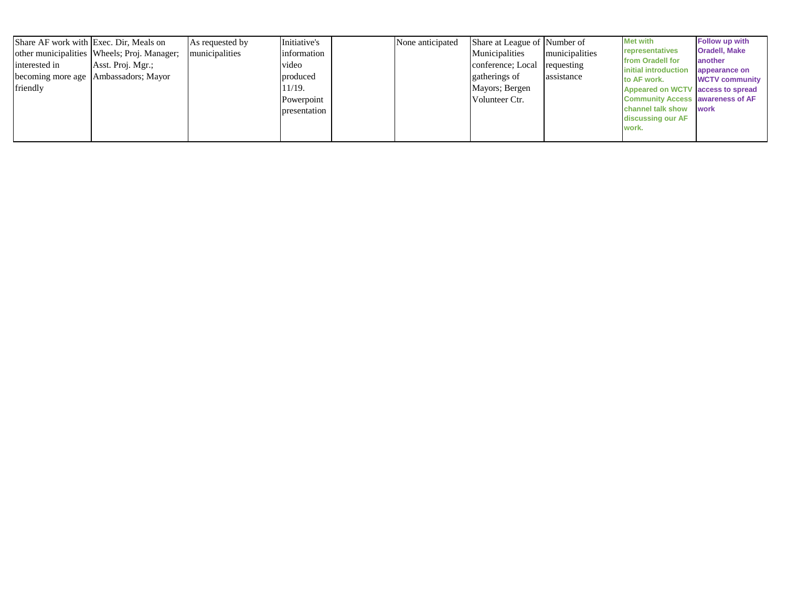| Share AF work with Exec. Dir, Meals on |                                             | As requested by | Initiative's | None anticipated | Share at League of Number of |                | <b>Met with</b>                             | Follow up with                  |
|----------------------------------------|---------------------------------------------|-----------------|--------------|------------------|------------------------------|----------------|---------------------------------------------|---------------------------------|
|                                        | other municipalities Wheels; Proj. Manager; | municipalities  | information  |                  | Municipalities               | municipalities | representatives<br>from Oradell for         | <b>Oradell, Make</b><br>another |
| interested in                          | Asst. Proj. Mgr.;                           |                 | video        |                  | conference; Local            | requesting     | initial introduction                        | appearance on                   |
|                                        | becoming more age Ambassadors; Mayor        |                 | produced     |                  | gatherings of                | assistance     | to AF work.                                 | <b>WCTV community</b>           |
| friendly                               |                                             |                 | 11/19.       |                  | Mayors; Bergen               |                | Appeared on WCTV access to spread           |                                 |
|                                        |                                             |                 | Powerpoint   |                  | Volunteer Ctr.               |                | <b>Community Access awareness of AF</b>     |                                 |
|                                        |                                             |                 | presentation |                  |                              |                | channel talk show work<br>discussing our AF |                                 |
|                                        |                                             |                 |              |                  |                              |                | work.                                       |                                 |
|                                        |                                             |                 |              |                  |                              |                |                                             |                                 |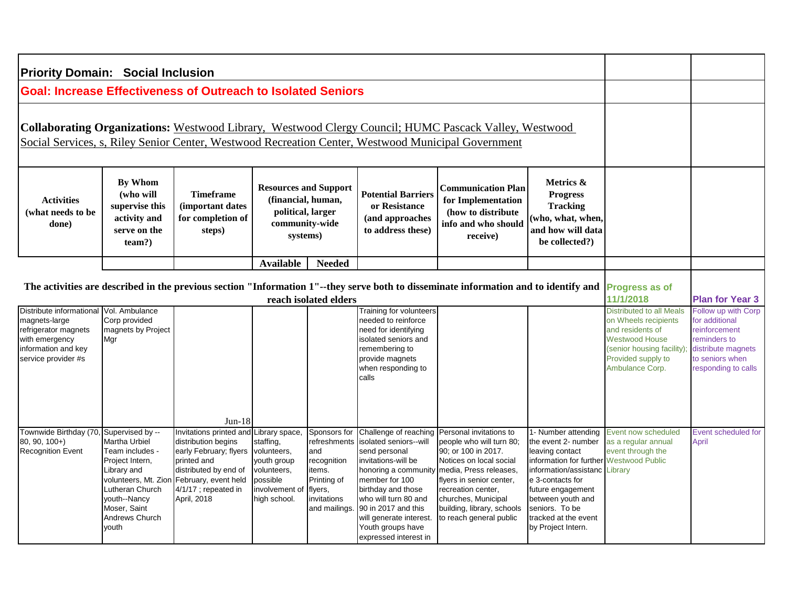| <b>Priority Domain: Social Inclusion</b>                                                                                          |                                                                                                                                                                                              |                                                                                                                                                                                                |                                                                                                       |                                                                                                                       |                                                                                                                                                                                                                                                       |                                                                                                                                                                                                                                                                                         |                                                                                                                                                                                                                                                                 |                                                                                                                                                                             |                                                                                                                                        |
|-----------------------------------------------------------------------------------------------------------------------------------|----------------------------------------------------------------------------------------------------------------------------------------------------------------------------------------------|------------------------------------------------------------------------------------------------------------------------------------------------------------------------------------------------|-------------------------------------------------------------------------------------------------------|-----------------------------------------------------------------------------------------------------------------------|-------------------------------------------------------------------------------------------------------------------------------------------------------------------------------------------------------------------------------------------------------|-----------------------------------------------------------------------------------------------------------------------------------------------------------------------------------------------------------------------------------------------------------------------------------------|-----------------------------------------------------------------------------------------------------------------------------------------------------------------------------------------------------------------------------------------------------------------|-----------------------------------------------------------------------------------------------------------------------------------------------------------------------------|----------------------------------------------------------------------------------------------------------------------------------------|
| <b>Goal: Increase Effectiveness of Outreach to Isolated Seniors</b>                                                               |                                                                                                                                                                                              |                                                                                                                                                                                                |                                                                                                       |                                                                                                                       |                                                                                                                                                                                                                                                       |                                                                                                                                                                                                                                                                                         |                                                                                                                                                                                                                                                                 |                                                                                                                                                                             |                                                                                                                                        |
|                                                                                                                                   |                                                                                                                                                                                              |                                                                                                                                                                                                |                                                                                                       |                                                                                                                       |                                                                                                                                                                                                                                                       | Collaborating Organizations: Westwood Library, Westwood Clergy Council; HUMC Pascack Valley, Westwood<br>Social Services, s, Riley Senior Center, Westwood Recreation Center, Westwood Municipal Government                                                                             |                                                                                                                                                                                                                                                                 |                                                                                                                                                                             |                                                                                                                                        |
| <b>Activities</b><br>(what needs to be<br>done)                                                                                   | <b>By Whom</b><br>(who will<br>supervise this<br>activity and<br>serve on the<br>team?                                                                                                       | <b>Timeframe</b><br>(important dates<br>for completion of<br>steps)                                                                                                                            | <b>Resources and Support</b><br>(financial, human,<br>political, larger<br>community-wide<br>systems) |                                                                                                                       | <b>Potential Barriers</b><br>or Resistance<br>(and approaches<br>to address these)                                                                                                                                                                    | <b>Communication Plan</b><br>for Implementation<br>(how to distribute)<br>info and who should<br>receive)                                                                                                                                                                               | Metrics &<br><b>Progress</b><br><b>Tracking</b><br>(who, what, when,<br>and how will data<br>be collected?)                                                                                                                                                     |                                                                                                                                                                             |                                                                                                                                        |
|                                                                                                                                   |                                                                                                                                                                                              |                                                                                                                                                                                                | <b>Available</b>                                                                                      | <b>Needed</b>                                                                                                         |                                                                                                                                                                                                                                                       |                                                                                                                                                                                                                                                                                         |                                                                                                                                                                                                                                                                 |                                                                                                                                                                             |                                                                                                                                        |
|                                                                                                                                   |                                                                                                                                                                                              |                                                                                                                                                                                                |                                                                                                       | reach isolated elders                                                                                                 |                                                                                                                                                                                                                                                       | The activities are described in the previous section "Information 1"--they serve both to disseminate information and to identify and                                                                                                                                                    |                                                                                                                                                                                                                                                                 | <b>Progress as of</b><br>11/1/2018                                                                                                                                          | <b>Plan for Year 3</b>                                                                                                                 |
| Distribute informational<br>magnets-large<br>refrigerator magnets<br>with emergency<br>information and key<br>service provider #s | Vol. Ambulance<br>Corp provided<br>magnets by Project<br>Mar                                                                                                                                 |                                                                                                                                                                                                |                                                                                                       |                                                                                                                       | Training for volunteers<br>needed to reinforce<br>need for identifying<br>isolated seniors and<br>remembering to<br>provide magnets<br>when responding to<br>calls                                                                                    |                                                                                                                                                                                                                                                                                         |                                                                                                                                                                                                                                                                 | <b>Distributed to all Meals</b><br>on Wheels recipients<br>and residents of<br><b>Westwood House</b><br>(senior housing facility);<br>Provided supply to<br>Ambulance Corp. | Follow up with Corp<br>for additional<br>reinforcement<br>reminders to<br>distribute magnets<br>to seniors when<br>responding to calls |
|                                                                                                                                   |                                                                                                                                                                                              | $Jun-18$                                                                                                                                                                                       |                                                                                                       |                                                                                                                       |                                                                                                                                                                                                                                                       |                                                                                                                                                                                                                                                                                         |                                                                                                                                                                                                                                                                 |                                                                                                                                                                             |                                                                                                                                        |
| Townwide Birthday (70<br>80, 90, 100+)<br><b>Recognition Event</b>                                                                | Supervised by --<br>Martha Urbiel<br>Team includes -<br>Project Intern,<br>Library and<br>volunteers, Mt. Zior<br>Lutheran Church<br>youth--Nancy<br>Moser, Saint<br>Andrews Church<br>vouth | Invitations printed and Library space,<br>distribution begins<br>early February; flyers<br>printed and<br>distributed by end of<br>February, event held<br>4/1/17 ; repeated in<br>April, 2018 | staffing,<br>volunteers,<br>youth group<br>volunteers,<br>possible<br>involvement o<br>high school.   | Sponsors for<br>refreshments<br>and<br>recognition<br>items.<br>Printing of<br>flyers,<br>invitations<br>and mailings | isolated seniors--will<br>send personal<br>invitations-will be<br>honoring a community<br>member for 100<br>birthday and those<br>who will turn 80 and<br>90 in 2017 and this<br>will generate interest<br>Youth groups have<br>expressed interest in | Challenge of reaching Personal invitations to<br>people who will turn 80;<br>90; or 100 in 2017.<br>Notices on local social<br>media, Press releases,<br>flyers in senior center,<br>recreation center,<br>churches, Municipal<br>building, library, schools<br>to reach general public | 1- Number attending<br>the event 2- number<br>leaving contact<br>information for further Westwood Public<br>information/assistanc<br>e 3-contacts for<br>future engagement<br>between youth and<br>seniors. To be<br>tracked at the event<br>by Project Intern. | Event now scheduled<br>as a regular annual<br>event through the<br>Library                                                                                                  | Event scheduled for<br>April                                                                                                           |

٦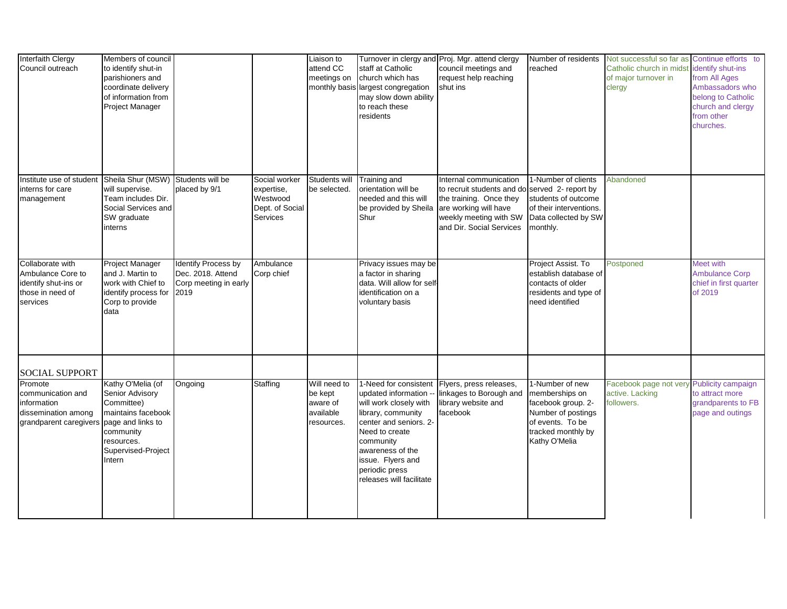| Interfaith Clergy<br>Council outreach                                                         | Members of council<br>to identify shut-in<br>parishioners and<br>coordinate delivery<br>of information from<br>Project Manager      |                                                                                  |                                                                               | Liaison to<br>attend CC<br>meetings on         | staff at Catholic<br>church which has<br>monthly basis largest congregation<br>may slow down ability<br>to reach these<br>residents                                                                                 | Turnover in clergy and Proj. Mgr. attend clergy<br>council meetings and<br>request help reaching<br>shut ins                                              | Number of residents<br>reached                                                                                        | Not successful so far as Continue efforts to<br>Catholic church in midst identify shut-ins<br>of major turnover in<br>clergy | from All Ages<br>Ambassadors who<br>belong to Catholic<br>church and clergy<br>from other<br>churches. |
|-----------------------------------------------------------------------------------------------|-------------------------------------------------------------------------------------------------------------------------------------|----------------------------------------------------------------------------------|-------------------------------------------------------------------------------|------------------------------------------------|---------------------------------------------------------------------------------------------------------------------------------------------------------------------------------------------------------------------|-----------------------------------------------------------------------------------------------------------------------------------------------------------|-----------------------------------------------------------------------------------------------------------------------|------------------------------------------------------------------------------------------------------------------------------|--------------------------------------------------------------------------------------------------------|
| Institute use of student<br>interns for care<br>management                                    | Sheila Shur (MSW) Students will be<br>will supervise.<br>Team includes Dir.<br>Social Services and<br>SW graduate<br>interns        | placed by 9/1                                                                    | Social worker<br>expertise,<br>Westwood<br>Dept. of Social<br><b>Services</b> | Students will<br>be selected.                  | Training and<br>orientation will be<br>needed and this will<br>be provided by Sheila are working will have<br>Shur                                                                                                  | Internal communication<br>to recruit students and do served 2- report by<br>the training. Once they<br>weekly meeting with SW<br>and Dir. Social Services | 1-Number of clients<br>students of outcome<br>of their interventions.<br>Data collected by SW<br>monthly.             | Abandoned                                                                                                                    |                                                                                                        |
| Collaborate with<br>Ambulance Core to<br>identify shut-ins or<br>those in need of<br>services | <b>Project Manager</b><br>and J. Martin to<br>work with Chief to<br>identify process for<br>Corp to provide<br>data                 | <b>Identify Process by</b><br>Dec. 2018. Attend<br>Corp meeting in early<br>2019 | Ambulance<br>Corp chief                                                       |                                                | Privacy issues may be<br>a factor in sharing<br>data. Will allow for self<br>identification on a<br>voluntary basis                                                                                                 |                                                                                                                                                           | Project Assist. To<br>establish database of<br>contacts of older<br>residents and type of<br>need identified          | Postponed                                                                                                                    | Meet with<br><b>Ambulance Corp</b><br>chief in first quarter<br>of 2019                                |
| <b>SOCIAL SUPPORT</b><br>Promote                                                              | Kathy O'Melia (of                                                                                                                   | Ongoing                                                                          | Staffing                                                                      | Will need to                                   | 1-Need for consistent                                                                                                                                                                                               | Flyers, press releases,                                                                                                                                   | 1-Number of new                                                                                                       | Facebook page not very                                                                                                       | Publicity campaign                                                                                     |
| communication and<br>information<br>dissemination among<br>grandparent caregivers             | Senior Advisory<br>Committee)<br>maintains facebook<br>page and links to<br>community<br>resources.<br>Supervised-Project<br>Intern |                                                                                  |                                                                               | be kept<br>aware of<br>available<br>resources. | updated information<br>will work closely with<br>library, community<br>center and seniors. 2-<br>Need to create<br>community<br>awareness of the<br>issue. Flyers and<br>periodic press<br>releases will facilitate | linkages to Borough and<br>library website and<br>facebook                                                                                                | memberships on<br>facebook group. 2-<br>Number of postings<br>of events. To be<br>tracked monthly by<br>Kathy O'Melia | active. Lacking<br>followers.                                                                                                | to attract more<br>grandparents to FB<br>page and outings                                              |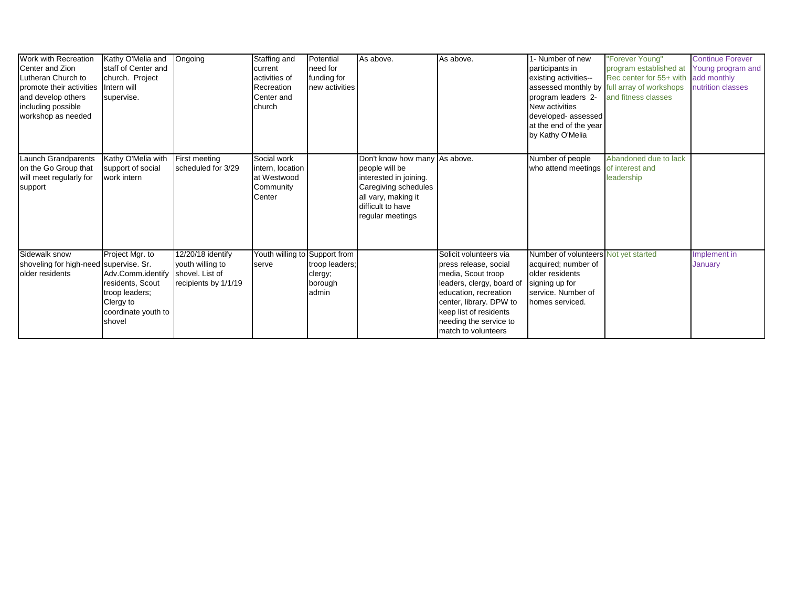| Work with Recreation<br>Center and Zion<br>Lutheran Church to<br>promote their activities<br>and develop others<br>including possible<br>workshop as needed | Kathy O'Melia and<br>staff of Center and<br>church. Project<br>Intern will<br>supervise.                                 | Ongoing                                                                          | Staffing and<br>current<br>activities of<br>Recreation<br>Center and<br>church | Potential<br>need for<br>funding for<br>new activities | As above.                                                                                                                        | As above.                                                                                                                                                                                                                         | 1- Number of new<br>participants in<br>existing activities--<br>program leaders 2-<br><b>New activities</b><br>developed-assessed         | "Forever Young"<br>program established at<br>Rec center for 55+ with<br>assessed monthly by full array of workshops<br>and fitness classes | <b>Continue Forever</b><br>Young program and<br>add monthly<br>nutrition classes |
|-------------------------------------------------------------------------------------------------------------------------------------------------------------|--------------------------------------------------------------------------------------------------------------------------|----------------------------------------------------------------------------------|--------------------------------------------------------------------------------|--------------------------------------------------------|----------------------------------------------------------------------------------------------------------------------------------|-----------------------------------------------------------------------------------------------------------------------------------------------------------------------------------------------------------------------------------|-------------------------------------------------------------------------------------------------------------------------------------------|--------------------------------------------------------------------------------------------------------------------------------------------|----------------------------------------------------------------------------------|
| Launch Grandparents                                                                                                                                         | Kathy O'Melia with                                                                                                       | First meeting                                                                    | Social work                                                                    |                                                        | Don't know how many As above.                                                                                                    |                                                                                                                                                                                                                                   | at the end of the year<br>by Kathy O'Melia<br>Number of people                                                                            | Abandoned due to lack                                                                                                                      |                                                                                  |
| on the Go Group that<br>will meet regularly for<br>support                                                                                                  | support of social<br>work intern                                                                                         | scheduled for 3/29                                                               | intern, location<br>at Westwood<br>Community<br>Center                         |                                                        | people will be<br>interested in joining.<br>Caregiving schedules<br>all vary, making it<br>difficult to have<br>regular meetings |                                                                                                                                                                                                                                   | who attend meetings                                                                                                                       | of interest and<br>leadership                                                                                                              |                                                                                  |
| Sidewalk snow<br>shoveling for high-need supervise. Sr.<br>older residents                                                                                  | Project Mgr. to<br>Adv.Comm.identify<br>residents, Scout<br>troop leaders;<br>Clergy to<br>coordinate youth to<br>shovel | 12/20/18 identify<br>youth willing to<br>shovel. List of<br>recipients by 1/1/19 | Youth willing to Support from<br>serve                                         | troop leaders;<br>clergy;<br>borough<br>admin          |                                                                                                                                  | Solicit volunteers via<br>press release, social<br>media, Scout troop<br>leaders, clergy, board of<br>education, recreation<br>center, library. DPW to<br>keep list of residents<br>needing the service to<br>match to volunteers | Number of volunteers Not yet started<br>acquired; number of<br>older residents<br>signing up for<br>service. Number of<br>homes serviced. |                                                                                                                                            | Implement in<br>January                                                          |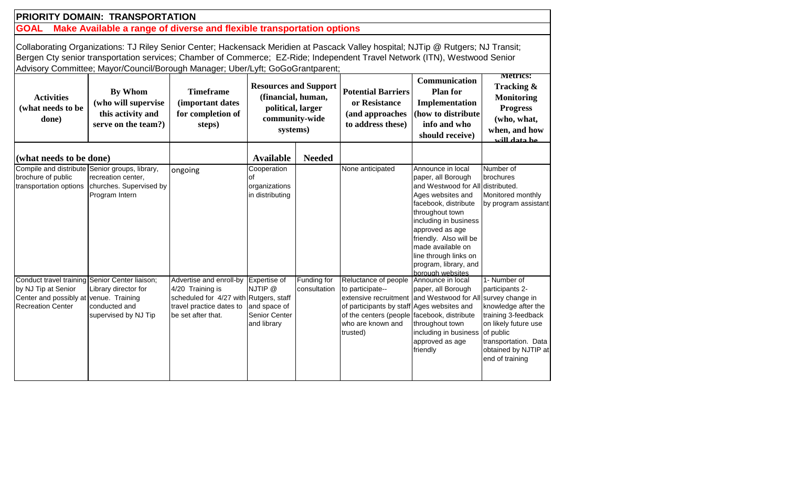# **PRIORITY DOMAIN: TRANSPORTATION**

**GOAL Make Available a range of diverse and flexible transportation options** 

Collaborating Organizations: TJ Riley Senior Center; Hackensack Meridien at Pascack Valley hospital; NJTip @ Rutgers; NJ Transit; Bergen Cty senior transportation services; Chamber of Commerce; EZ-Ride; Independent Travel Network (ITN), Westwood Senior Advisory Committee; Mayor/Council/Borough Manager; Uber/Lyft; GoGoGrantparent;

| <b>Activities</b><br>(what needs to be<br>done)                                                                                             | <b>By Whom</b><br>(who will supervise<br>this activity and<br>serve on the team?)                                 | <b>Timeframe</b><br>(important dates<br>for completion of<br>steps)                                                                     | <b>Resources and Support</b><br>(financial, human,<br>political, larger<br>community-wide<br>systems) |                             | <b>Potential Barriers</b><br>or Resistance<br>(and approaches<br>to address these)                                                                                                                                                    |                                                                                                                                                                                                                                                                                                               | Metrics:<br>Tracking &<br><b>Monitoring</b><br><b>Progress</b><br>(who, what,<br>when, and how<br>uill data ha                                                                        |
|---------------------------------------------------------------------------------------------------------------------------------------------|-------------------------------------------------------------------------------------------------------------------|-----------------------------------------------------------------------------------------------------------------------------------------|-------------------------------------------------------------------------------------------------------|-----------------------------|---------------------------------------------------------------------------------------------------------------------------------------------------------------------------------------------------------------------------------------|---------------------------------------------------------------------------------------------------------------------------------------------------------------------------------------------------------------------------------------------------------------------------------------------------------------|---------------------------------------------------------------------------------------------------------------------------------------------------------------------------------------|
| (what needs to be done)                                                                                                                     |                                                                                                                   |                                                                                                                                         | <b>Available</b>                                                                                      | <b>Needed</b>               |                                                                                                                                                                                                                                       |                                                                                                                                                                                                                                                                                                               |                                                                                                                                                                                       |
| brochure of public<br>transportation options                                                                                                | Compile and distribute Senior groups, library,<br>recreation center,<br>churches. Supervised by<br>Program Intern | ongoing                                                                                                                                 | Cooperation<br>∩f<br>organizations<br>in distributing                                                 |                             | None anticipated                                                                                                                                                                                                                      | Announce in local<br>paper, all Borough<br>and Westwood for All distributed.<br>Ages websites and<br>facebook, distribute<br>throughout town<br>including in business<br>approved as age<br>friendly. Also will be<br>made available on<br>line through links on<br>program, library, and<br>borough websites | Number of<br>brochures<br>Monitored monthly<br>by program assistant                                                                                                                   |
| Conduct travel training Senior Center liaison;<br>by NJ Tip at Senior<br>Center and possibly at venue. Training<br><b>Recreation Center</b> | Library director for<br>conducted and<br>supervised by NJ Tip                                                     | Advertise and enroll-by<br>4/20 Training is<br>scheduled for 4/27 with Rutgers, staff<br>travel practice dates to<br>be set after that. | Expertise of<br>NJTIP @<br>and space of<br>Senior Center<br>and library                               | Funding for<br>consultation | Reluctance of people<br>to participate--<br>extensive recruitment and Westwood for All survey change in<br>of participants by staff Ages websites and<br>of the centers (people facebook, distribute<br>who are known and<br>trusted) | Announce in local<br>paper, all Borough<br>throughout town<br>including in business<br>approved as age<br>friendly                                                                                                                                                                                            | 1- Number of<br>participants 2-<br>knowledge after the<br>training 3-feedback<br>on likely future use<br>of public<br>transportation. Data<br>obtained by NJTIP at<br>end of training |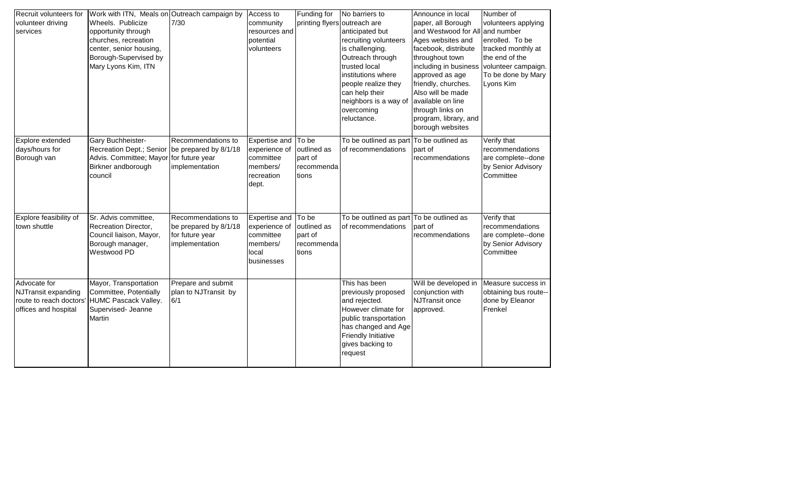| Recruit volunteers for<br>volunteer driving                                            | Work with ITN, Meals on Outreach campaign by<br>Wheels. Publicize                                                         | $7/30$                                                                           | Access to<br>community                                                         | Funding for                                            | No barriers to<br>printing flyers outreach are                                                                                                                                                                        | Announce in local<br>paper, all Borough                                                                                                                                                                                                                                       | Number of<br>volunteers applying                                                                                  |
|----------------------------------------------------------------------------------------|---------------------------------------------------------------------------------------------------------------------------|----------------------------------------------------------------------------------|--------------------------------------------------------------------------------|--------------------------------------------------------|-----------------------------------------------------------------------------------------------------------------------------------------------------------------------------------------------------------------------|-------------------------------------------------------------------------------------------------------------------------------------------------------------------------------------------------------------------------------------------------------------------------------|-------------------------------------------------------------------------------------------------------------------|
| services                                                                               | opportunity through<br>churches, recreation<br>center, senior housing,<br>Borough-Supervised by<br>Mary Lyons Kim, ITN    |                                                                                  | resources and<br>potential<br>volunteers                                       |                                                        | anticipated but<br>recruiting volunteers<br>is challenging.<br>Outreach through<br>trusted local<br>institutions where<br>people realize they<br>can help their<br>neighbors is a way of<br>overcoming<br>reluctance. | and Westwood for All and number<br>Ages websites and<br>facebook, distribute<br>throughout town<br>including in business<br>approved as age<br>friendly, churches.<br>Also will be made<br>available on line<br>through links on<br>program, library, and<br>borough websites | enrolled. To be<br>tracked monthly at<br>the end of the<br>volunteer campaign.<br>To be done by Mary<br>Lyons Kim |
| Explore extended<br>days/hours for<br>Borough van                                      | Gary Buchheister-<br>Recreation Dept.; Senior<br>Advis. Committee; Mayor for future year<br>Birkner andborough<br>council | Recommendations to<br>be prepared by 8/1/18<br>implementation                    | Expertise and<br>experience of<br>committee<br>members/<br>recreation<br>dept. | To be<br>outlined as<br>part of<br>recommenda<br>tions | To be outlined as part<br>of recommendations                                                                                                                                                                          | To be outlined as<br>part of<br>recommendations                                                                                                                                                                                                                               | Verify that<br>recommendations<br>are complete--done<br>by Senior Advisory<br>Committee                           |
| Explore feasibility of<br>town shuttle                                                 | Sr. Advis committee,<br>Recreation Director,<br>Council liaison, Mayor,<br>Borough manager,<br>Westwood PD                | Recommendations to<br>be prepared by 8/1/18<br>for future year<br>implementation | Expertise and<br>experience of<br>committee<br>members/<br>local<br>businesses | To be<br>outlined as<br>part of<br>recommenda<br>tions | To be outlined as part To be outlined as<br>of recommendations                                                                                                                                                        | part of<br>recommendations                                                                                                                                                                                                                                                    | Verify that<br>recommendations<br>are complete--done<br>by Senior Advisory<br>Committee                           |
| Advocate for<br>NJTransit expanding<br>route to reach doctors'<br>offices and hospital | Mayor, Transportation<br>Committee, Potentially<br>HUMC Pascack Valley.<br>Supervised- Jeanne<br>Martin                   | Prepare and submit<br>plan to NJTransit by<br>6/1                                |                                                                                |                                                        | This has been<br>previously proposed<br>and rejected.<br>However climate for<br>public transportation<br>has changed and Age<br><b>Friendly Initiative</b><br>gives backing to<br>request                             | Will be developed in<br>conjunction with<br><b>NJTransit once</b><br>approved.                                                                                                                                                                                                | Measure success in<br>obtaining bus route--<br>done by Eleanor<br>Frenkel                                         |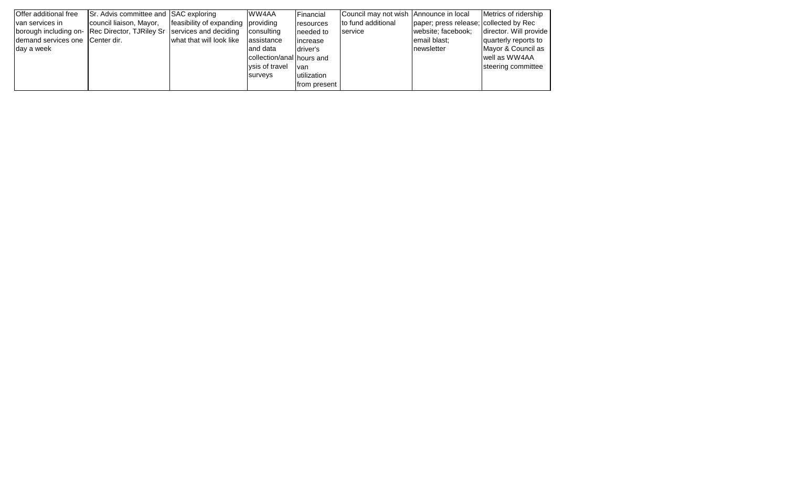| <b>Offer additional free</b>     | Sr. Advis committee and SAC exploring                                |                                    | WW4AA                     | Financial    | Council may not wish Announce in local |                                        | Metrics of ridership   |
|----------------------------------|----------------------------------------------------------------------|------------------------------------|---------------------------|--------------|----------------------------------------|----------------------------------------|------------------------|
| van services in                  | council liaison, Mayor,                                              | feasibility of expanding providing |                           | resources    | to fund additional                     | paper; press release; collected by Rec |                        |
|                                  | borough including on- Rec Director, TJRiley Sr services and deciding |                                    | consulting                | needed to    | service                                | website; facebook;                     | director. Will provide |
| Idemand services one Center dir. |                                                                      | what that will look like           | assistance                | increase     |                                        | email blast:                           | quarterly reports to   |
| day a week                       |                                                                      |                                    | and data                  | driver's     |                                        | Inewsletter                            | Mayor & Council as     |
|                                  |                                                                      |                                    | collection/anal hours and |              |                                        |                                        | well as WW4AA          |
|                                  |                                                                      |                                    | vsis of travel            | van          |                                        |                                        | steering committee     |
|                                  |                                                                      |                                    | surveys                   | utilization  |                                        |                                        |                        |
|                                  |                                                                      |                                    |                           | from present |                                        |                                        |                        |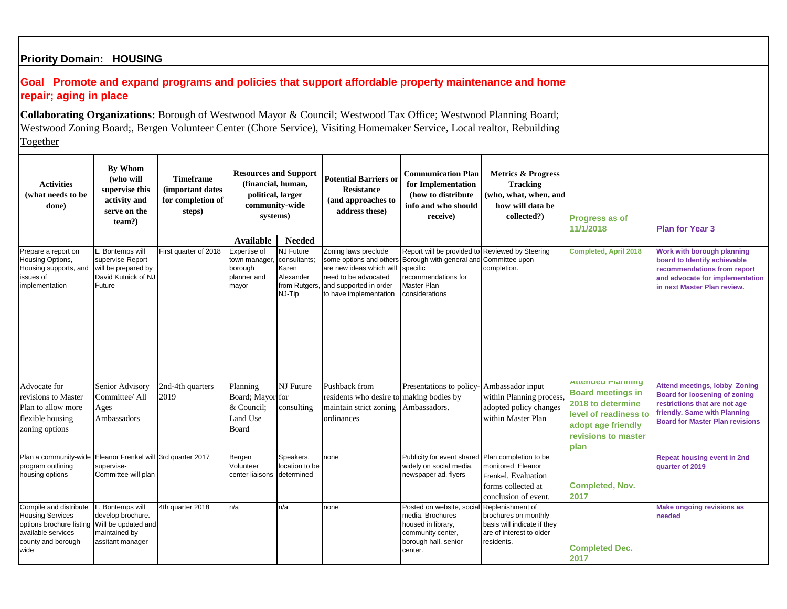| <b>Priority Domain: HOUSING</b>                                                                                                                                                                                                           |                                                                                           |                                                                     |                                                                                                       |                                                                                                    |                                                                                                                                                         |                                                                                                                                                               |                                                                                                                 |                                                                                                                                                  |                                                                                                                                                                                  |
|-------------------------------------------------------------------------------------------------------------------------------------------------------------------------------------------------------------------------------------------|-------------------------------------------------------------------------------------------|---------------------------------------------------------------------|-------------------------------------------------------------------------------------------------------|----------------------------------------------------------------------------------------------------|---------------------------------------------------------------------------------------------------------------------------------------------------------|---------------------------------------------------------------------------------------------------------------------------------------------------------------|-----------------------------------------------------------------------------------------------------------------|--------------------------------------------------------------------------------------------------------------------------------------------------|----------------------------------------------------------------------------------------------------------------------------------------------------------------------------------|
| Goal Promote and expand programs and policies that support affordable property maintenance and home<br>repair; aging in place                                                                                                             |                                                                                           |                                                                     |                                                                                                       |                                                                                                    |                                                                                                                                                         |                                                                                                                                                               |                                                                                                                 |                                                                                                                                                  |                                                                                                                                                                                  |
| Collaborating Organizations: Borough of Westwood Mayor & Council; Westwood Tax Office; Westwood Planning Board;<br>Westwood Zoning Board;, Bergen Volunteer Center (Chore Service), Visiting Homemaker Service, Local realtor, Rebuilding |                                                                                           |                                                                     |                                                                                                       |                                                                                                    |                                                                                                                                                         |                                                                                                                                                               |                                                                                                                 |                                                                                                                                                  |                                                                                                                                                                                  |
| Together                                                                                                                                                                                                                                  |                                                                                           |                                                                     |                                                                                                       |                                                                                                    |                                                                                                                                                         |                                                                                                                                                               |                                                                                                                 |                                                                                                                                                  |                                                                                                                                                                                  |
| <b>Activities</b><br>(what needs to be<br>done)                                                                                                                                                                                           | By Whom<br>(who will<br>supervise this<br>activity and<br>serve on the<br>team?)          | <b>Timeframe</b><br>(important dates<br>for completion of<br>steps) | <b>Resources and Support</b><br>(financial, human,<br>political, larger<br>community-wide<br>systems) |                                                                                                    | <b>Potential Barriers or</b><br><b>Resistance</b><br>(and approaches to<br>address these)                                                               | Communication Plan<br>for Implementation<br>(how to distribute)<br>info and who should<br>receive)                                                            | <b>Metrics &amp; Progress</b><br><b>Tracking</b><br>(who, what, when, and<br>how will data be<br>collected?)    | Progress as of<br>11/1/2018                                                                                                                      | <b>Plan for Year 3</b>                                                                                                                                                           |
| Prepare a report on<br>Housing Options,<br>Housing supports, and<br>issues of<br>implementation                                                                                                                                           | Bontemps will<br>supervise-Report<br>will be prepared by<br>David Kutnick of NJ<br>Future | First quarter of 2018                                               | Available<br>Expertise of<br>town manager<br>borough<br>planner and<br>mayor                          | <b>Needed</b><br><b>NJ Future</b><br>consultants;<br>Karen<br>Alexander<br>from Rutgers,<br>NJ-Tip | Zoning laws preclude<br>some options and others<br>are new ideas which will<br>need to be advocated<br>and supported in order<br>to have implementation | Report will be provided to Reviewed by Steering<br>Borough with general and Committee upon<br>specific<br>ecommendations for<br>Master Plan<br>considerations | completion.                                                                                                     | <b>Completed, April 2018</b>                                                                                                                     | Work with borough planning<br>board to Identify achievable<br>recommendations from report<br>and advocate for implementation<br>in next Master Plan review.                      |
| Advocate for<br>revisions to Master<br>Plan to allow more<br>flexible housing<br>zoning options                                                                                                                                           | Senior Advisory<br>Committee/ All<br>Ages<br>Ambassadors                                  | 2nd-4th quarters<br>2019                                            | Planning<br>Board; Mayor for<br>& Council;<br>Land Use<br>Board                                       | NJ Future<br>consulting                                                                            | Pushback from<br>residents who desire to making bodies by<br>maintain strict zoning<br>ordinances                                                       | Presentations to policy-<br>Ambassadors.                                                                                                                      | Ambassador input<br>within Planning process.<br>adopted policy changes<br>within Master Plan                    | Attenueu Fianning<br><b>Board meetings in</b><br>2018 to determine<br>level of readiness to<br>adopt age friendly<br>revisions to master<br>plan | <b>Attend meetings, lobby Zoning</b><br>Board for loosening of zoning<br>restrictions that are not age<br>friendly. Same with Planning<br><b>Board for Master Plan revisions</b> |
| Plan a community-wide Eleanor Frenkel will 3rd quarter 2017<br>program outlining<br>housing options                                                                                                                                       | supervise-<br>Committee will plan                                                         |                                                                     | Bergen<br>Volunteer<br>center liaisons determined                                                     | Speakers,<br>location to be                                                                        | none                                                                                                                                                    | Publicity for event shared<br>widely on social media,<br>newspaper ad, flyers                                                                                 | Plan completion to be<br>monitored Eleanor<br>Frenkel. Evaluation<br>forms collected at<br>conclusion of event. | <b>Completed, Nov.</b><br>2017                                                                                                                   | <b>Repeat housing event in 2nd</b><br>quarter of 2019                                                                                                                            |
| Compile and distribute<br><b>Housing Services</b><br>options brochure listing Will be updated and<br>available services<br>county and borough-<br>wide                                                                                    | L. Bontemps will<br>develop brochure.<br>maintained by<br>assitant manager                | 4th quarter 2018                                                    | n/a                                                                                                   | n/a                                                                                                | none                                                                                                                                                    | Posted on website, social Replenishment of<br>media. Brochures<br>housed in library,<br>community center,<br>borough hall, senior<br>center.                  | brochures on monthly<br>basis will indicate if they<br>are of interest to older<br>residents.                   | <b>Completed Dec.</b><br>2017                                                                                                                    | <b>Make ongoing revisions as</b><br>needed                                                                                                                                       |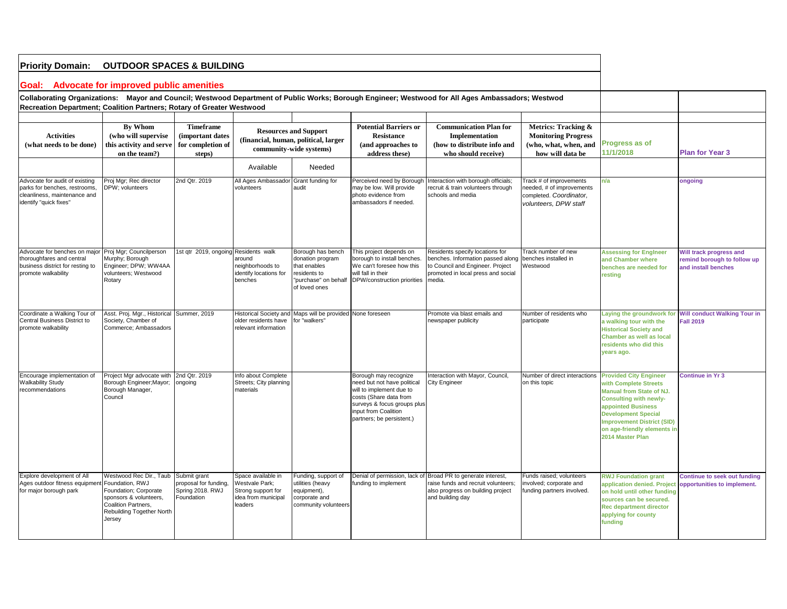| <b>Priority Domain:</b><br><b>OUTDOOR SPACES &amp; BUILDING</b>                                                           |                                                                                                                                                             |                                                                         |                                                                                                 |                                                                                                                |                                                                                                                                                                                                |                                                                                                                                                          |                                                                                                          |                                                                                                                                                                                                                                                                        |                                                                               |
|---------------------------------------------------------------------------------------------------------------------------|-------------------------------------------------------------------------------------------------------------------------------------------------------------|-------------------------------------------------------------------------|-------------------------------------------------------------------------------------------------|----------------------------------------------------------------------------------------------------------------|------------------------------------------------------------------------------------------------------------------------------------------------------------------------------------------------|----------------------------------------------------------------------------------------------------------------------------------------------------------|----------------------------------------------------------------------------------------------------------|------------------------------------------------------------------------------------------------------------------------------------------------------------------------------------------------------------------------------------------------------------------------|-------------------------------------------------------------------------------|
| Goal: Advocate for improved public amenities                                                                              |                                                                                                                                                             |                                                                         |                                                                                                 |                                                                                                                |                                                                                                                                                                                                |                                                                                                                                                          |                                                                                                          |                                                                                                                                                                                                                                                                        |                                                                               |
| Recreation Department; Coalition Partners; Rotary of Greater Westwood                                                     |                                                                                                                                                             |                                                                         |                                                                                                 |                                                                                                                |                                                                                                                                                                                                | Collaborating Organizations: Mayor and Council; Westwood Department of Public Works; Borough Engineer; Westwood for All Ages Ambassadors; Westwod        |                                                                                                          |                                                                                                                                                                                                                                                                        |                                                                               |
|                                                                                                                           |                                                                                                                                                             |                                                                         |                                                                                                 |                                                                                                                |                                                                                                                                                                                                |                                                                                                                                                          |                                                                                                          |                                                                                                                                                                                                                                                                        |                                                                               |
| <b>Activities</b><br>(what needs to be done)                                                                              | <b>By Whom</b><br>(who will supervise<br>this activity and serve<br>on the team?)                                                                           | <b>Timeframe</b><br>(important dates<br>for completion of<br>steps)     | <b>Resources and Support</b><br>(financial, human, political, larger<br>community-wide systems) |                                                                                                                | <b>Potential Barriers or</b><br><b>Resistance</b><br>(and approaches to<br>address these)                                                                                                      | <b>Communication Plan for</b><br>Implementation<br>(how to distribute info and<br>who should receive)                                                    | Metrics: Tracking &<br><b>Monitoring Progress</b><br>(who, what, when, and<br>how will data be           | Progress as of<br>11/1/2018                                                                                                                                                                                                                                            | <b>Plan for Year 3</b>                                                        |
|                                                                                                                           |                                                                                                                                                             |                                                                         | Available                                                                                       | Needed                                                                                                         |                                                                                                                                                                                                |                                                                                                                                                          |                                                                                                          |                                                                                                                                                                                                                                                                        |                                                                               |
| Advocate for audit of existing<br>parks for benches, restrooms,<br>cleanliness, maintenance and<br>identify "quick fixes" | Proj Mgr; Rec director<br>DPW; volunteers                                                                                                                   | 2nd Qtr. 2019                                                           | All Ages Ambassador Grant funding for<br>volunteers                                             | audit                                                                                                          | Perceived need by Borough<br>may be low. Will provide<br>photo evidence from<br>ambassadors if needed.                                                                                         | Interaction with borough officials;<br>recruit & train volunteers through<br>schools and media                                                           | Track # of improvements<br>needed, # of improvements<br>completed. Coordinator,<br>volunteers. DPW staff | n/a                                                                                                                                                                                                                                                                    | ongoing                                                                       |
| Advocate for benches on maior<br>thoroughfares and central<br>business district for resting to<br>promote walkability     | Proj Mgr; Councilperson<br>Murphy; Borough<br>Engineer; DPW; WW4AA<br>volunteers; Westwood<br>Rotary                                                        | 1st qtr 2019, ongoing Residents walk                                    | around<br>neighborhoods to<br>identify locations for<br>benches                                 | Borough has bench<br>donation program<br>that enables<br>residents to<br>"purchase" on behalf<br>of loved ones | This project depends on<br>borough to install benches.<br>We can't foresee how this<br>will fall in their<br>DPW/construction priorities                                                       | Residents specify locations for<br>benches. Information passed along<br>to Council and Engineer. Project<br>promoted in local press and social<br>media. | <b>Track number of new</b><br>benches installed in<br>Westwood                                           | <b>Assessing for Engineer</b><br>and Chamber where<br>benches are needed for<br>resting                                                                                                                                                                                | Will track progress and<br>remind borough to follow up<br>and install benches |
| Coordinate a Walking Tour of<br>Central Business District to<br>promote walkability                                       | Asst. Proj. Mgr., Historical Summer, 2019<br>Society, Chamber of<br>Commerce: Ambassadors                                                                   |                                                                         | older residents have<br>relevant information                                                    | Historical Society and Maps will be provided None foreseen<br>for "walkers"                                    |                                                                                                                                                                                                | Promote via blast emails and<br>newspaper publicity                                                                                                      | Number of residents who<br>participate                                                                   | Laying the groundwork for<br>a walking tour with the<br><b>Historical Society and</b><br>Chamber as well as local<br>residents who did this<br>years ago.                                                                                                              | <b>Will conduct Walking Tour in</b><br><b>Fall 2019</b>                       |
| Encourage implementation of<br><b>Walkability Study</b><br>recommendations                                                | Project Mgr advocate with<br>Borough Engineer; Mayor;<br>Borough Manager,<br>Council                                                                        | 2nd Qtr. 2019<br>ongoing                                                | Info about Complete<br>Streets; City planning<br>materials                                      |                                                                                                                | Borough may recognize<br>need but not have political<br>will to implement due to<br>costs (Share data from<br>surveys & focus groups plus<br>input from Coalition<br>partners; be persistent.) | Interaction with Mayor, Council,<br><b>City Engineer</b>                                                                                                 | Number of direct interactions<br>on this topic                                                           | <b>Provided City Engineer</b><br>with Complete Streets<br><b>Manual from State of NJ.</b><br><b>Consulting with newly-</b><br>appointed Business<br><b>Development Special</b><br><b>Improvement District (SID)</b><br>on age-friendly elements in<br>2014 Master Plan | Continue in Yr 3                                                              |
| Explore development of All<br>Ages outdoor fitness equipmen<br>for major borough park                                     | Westwood Rec Dir., Taub<br>Foundation, RWJ<br>Foundation; Corporate<br>sponsors & volunteers,<br>Coalition Partners.<br>Rebuilding Together North<br>Jersey | Submit grant<br>proposal for funding,<br>Spring 2018. RWJ<br>Foundation | Space available in<br>Westvale Park;<br>Strong support for<br>idea from municipal<br>leaders    | Funding, support of<br>utilities (heavy<br>equipment),<br>corporate and<br>community volunteers                | Denial of permission, lack of<br>funding to implement                                                                                                                                          | Broad PR to generate interest,<br>raise funds and recruit volunteers;<br>also progress on building project<br>and building day                           | Funds raised; volunteers<br>involved; corporate and<br>funding partners involved.                        | <b>RWJ Foundation grant</b><br>application denied. Project<br>on hold until other funding<br>sources can be secured.<br><b>Rec department director</b><br>applying for county<br>funding                                                                               | <b>Continue to seek out funding</b><br>opportunities to implement.            |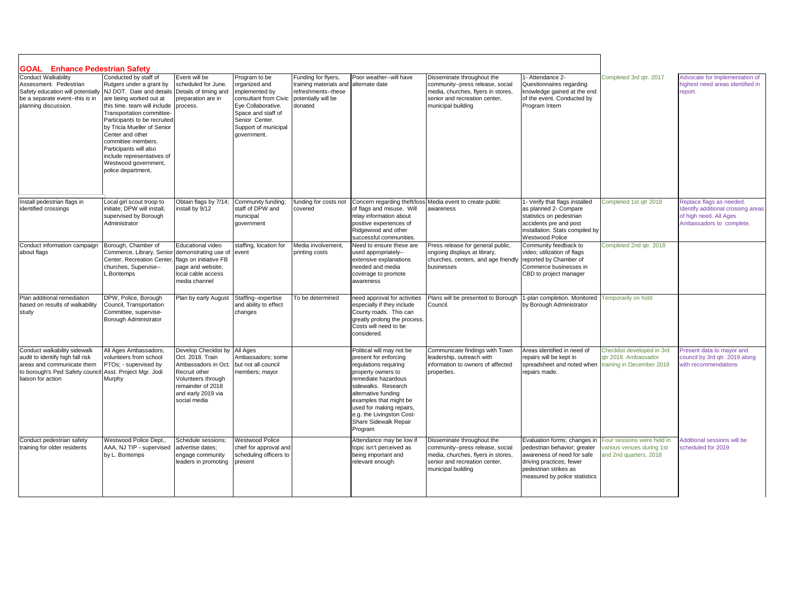| <b>GOAL</b> Enhance Pedestrian Safety                                                                                                                                           |                                                                                                                                                                                                                                                                                                                                                                                      |                                                                                                                                                                   |                                                                                                                                                                                |                                                                                                        |                                                                                                                                                                                                                                                                                             |                                                                                                                                                             |                                                                                                                                                                                  |                                                                                   |                                                                                                                      |
|---------------------------------------------------------------------------------------------------------------------------------------------------------------------------------|--------------------------------------------------------------------------------------------------------------------------------------------------------------------------------------------------------------------------------------------------------------------------------------------------------------------------------------------------------------------------------------|-------------------------------------------------------------------------------------------------------------------------------------------------------------------|--------------------------------------------------------------------------------------------------------------------------------------------------------------------------------|--------------------------------------------------------------------------------------------------------|---------------------------------------------------------------------------------------------------------------------------------------------------------------------------------------------------------------------------------------------------------------------------------------------|-------------------------------------------------------------------------------------------------------------------------------------------------------------|----------------------------------------------------------------------------------------------------------------------------------------------------------------------------------|-----------------------------------------------------------------------------------|----------------------------------------------------------------------------------------------------------------------|
| Conduct Walkability<br>Assessment. Pedestrian<br>Safety education will potentially<br>be a separate event--this is in<br>planning discussion.                                   | Conducted by staff of<br>Rutgers under a grant by<br>NJ DOT. Date and details<br>are being worked out at<br>this time, team will include<br>Transportation committee-<br>Participants to be recruited<br>by Tricia Mueller of Senior<br>Center and other<br>committee members.<br>Participants will also<br>include representatives of<br>Westwood government,<br>police department, | Event will be<br>scheduled for June.<br>Details of timing and<br>preparation are in<br>process.                                                                   | Program to be<br>organized and<br>implemented by<br>consultant from Civic<br>Eye Collaborative.<br>Space and staff of<br>Senior Center.<br>Support of municipal<br>government. | Funding for flyers,<br>training materials and<br>refreshments--these<br>potentially will be<br>donated | Poor weather--will have<br>alternate date                                                                                                                                                                                                                                                   | Disseminate throughout the<br>community--press release, social<br>media, churches, flyers in stores,<br>senior and recreation center.<br>municipal building | 1- Attendance 2-<br>Questionnaires regarding<br>knowledge gained at the end<br>of the event. Conducted by<br>Program Intern                                                      | Completed 3rd gtr. 2017                                                           | Advocate for implementation of<br>highest need areas identified in<br>report.                                        |
| Install pedestrian flags in<br>identified crossings                                                                                                                             | Local girl scout troop to<br>initiate; DPW will install,<br>supervised by Borough<br>Administrator                                                                                                                                                                                                                                                                                   | Obtain flags by 7/14;<br>install by 9/12                                                                                                                          | Community funding;<br>staff of DPW and<br>municipal<br>government                                                                                                              | funding for costs not<br>covered                                                                       | Concern regarding theft/los<br>of flags and misuse. Will<br>relay information about<br>positive experiences of<br>Ridgewood and other<br>successful communities.                                                                                                                            | s Media event to create public<br>awareness                                                                                                                 | 1- Verify that flags installed<br>as planned 2- Compare<br>statistics on pedestrian<br>accidents pre and post<br>installation. Stats compiled by<br><b>Westwood Police</b>       | Completed 1st qtr 2018                                                            | Replace flags as needed.<br>Identify additional crossing areas<br>of high need. All Ages<br>Ambassadors to complete. |
| Conduct information campaign<br>about flags                                                                                                                                     | Borough, Chamber of<br>Commerce, Library, Senior demonstrating use of<br>Center, Recreation Center.<br>churches, Supervise--<br>.Bontemps                                                                                                                                                                                                                                            | Educational video<br>flags on initiative FB<br>page and website;<br>local cable access<br>media channel                                                           | staffing, location for<br>event                                                                                                                                                | Media involvement,<br>printing costs                                                                   | Need to ensure these are<br>used appropriately--<br>extensive explanations<br>needed and media<br>coverage to promote<br>awareness                                                                                                                                                          | Press release for general public,<br>ongoing displays at library,<br>churches, centers, and age friendly<br>businesses                                      | Community feedback to<br>video: utilization of flags<br>reported by Chamber of<br>Commerce businesses in<br>CBD to project manager                                               | Completed 2nd gtr. 2018                                                           |                                                                                                                      |
| Plan additional remediation<br>based on results of walkability<br>study                                                                                                         | DPW. Police. Borough<br>Council, Transportation<br>Committee, supervise-<br>Borough Administrator                                                                                                                                                                                                                                                                                    | Plan by early August                                                                                                                                              | Staffing--expertise<br>and ability to effect<br>changes                                                                                                                        | To be determined                                                                                       | need approval for activities<br>especially if they include<br>County roads. This can<br>greatly prolong the process.<br>Costs will need to be<br>considered.                                                                                                                                | Plans will be presented to Borough<br>Council.                                                                                                              | 1-plan completion. Monitored<br>by Borough Administrator                                                                                                                         | <b>Temporarily on hold</b>                                                        |                                                                                                                      |
| Conduct walkability sidewalk<br>audit to identify high fall risk<br>areas and communicate them<br>to borough's Ped Safety council Asst. Project Mgr. Jodi<br>liaison for action | All Ages Ambassadors;<br>volunteers from school<br>PTOs; - supervised by<br>Murphy                                                                                                                                                                                                                                                                                                   | Develop Checklist by<br>Oct. 2018. Train<br>Ambassadors in Oct.<br>Recruit other<br>Volunteers through<br>remainder of 2018<br>and early 2019 via<br>social media | All Ages<br>Ambassadors; some<br>but not all council<br>members; mayor                                                                                                         |                                                                                                        | Political will may not be<br>present for enforcing<br>equlations requiring<br>property owners to<br>emediate hazardous<br>sidewalks. Research<br>alternative funding<br>examples that might be<br>used for making repairs,<br>e.g. the Livingston Cost-<br>Share Sidewalk Repair<br>Program | Communicate findings with Town<br>leadership, outreach with<br>information to owners of affected<br>properties.                                             | Areas identified in need of<br>repairs will be kept in<br>spreadsheet and noted when<br>repairs made.                                                                            | Checklist developed in 3rd<br>gtr 2018. Ambassador<br>training in December 2018   | Present data to mayor and<br>council by 3rd qtr. 2019 along<br>with recommendations                                  |
| Conduct pedestrian safety<br>training for older residents                                                                                                                       | Westwood Police Dept.,<br>AAA, NJ TIP - supervised<br>by L. Bontemps                                                                                                                                                                                                                                                                                                                 | Schedule sessions;<br>advertise dates;<br>engage community<br>leaders in promoting                                                                                | <b>Westwood Police</b><br>chief for approval and<br>scheduling officers to<br>present                                                                                          |                                                                                                        | Attendance may be low if<br>topic isn't perceived as<br>being important and<br>relevant enough.                                                                                                                                                                                             | Disseminate throughout the<br>community--press release, social<br>media, churches, flyers in stores,<br>senior and recreation center,<br>municipal building | Evaluation forms; changes in<br>pedestrian behavior; greater<br>awareness of need for safe<br>driving practices; fewer<br>pedestrian strikes as<br>measured by police statistics | Four sessions were held in<br>various venues during 1st<br>and 2nd quarters, 2018 | Additional sessions will be<br>scheduled for 2019                                                                    |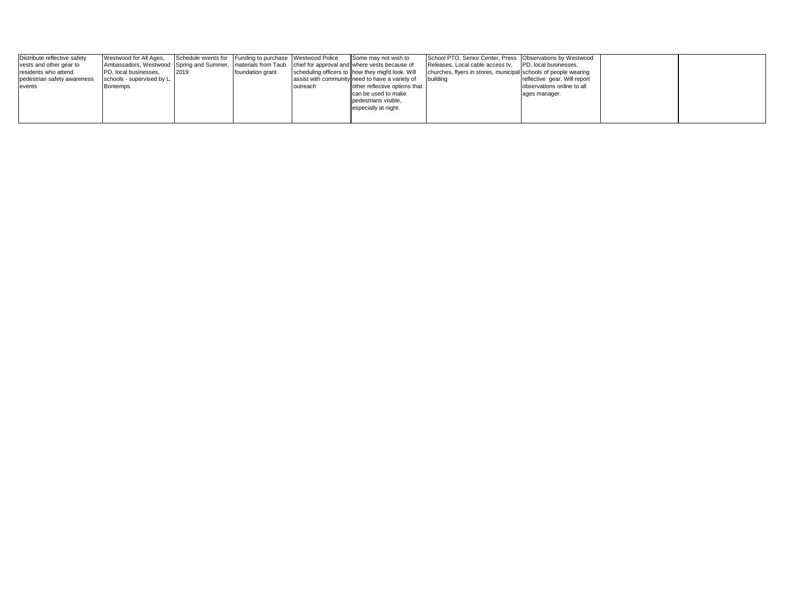| Distribute reflective safety | Westwood for All Ages,                                                                                      |      | Schedule events for Funding to purchase Westwood Police |          | Some may not wish to                             | School PTO, Senior Center, Press   Observations by Westwood     |                              |  |
|------------------------------|-------------------------------------------------------------------------------------------------------------|------|---------------------------------------------------------|----------|--------------------------------------------------|-----------------------------------------------------------------|------------------------------|--|
| vests and other gear to      | Ambassadors, Westwood Spring and Summer, Imaterials from Taub chief for approval and where vests because of |      |                                                         |          |                                                  | Releases, Local cable access tv,                                | <b>PD.</b> local businesses. |  |
| residents who attend         | PD, local businesses,                                                                                       | 2019 | foundation grant                                        |          | scheduling officers to how they might look. Will | churches, flyers in stores, municipal schools of people wearing |                              |  |
| pedestrian safety awareness  | schools - supervised by L.                                                                                  |      |                                                         |          | assist with community need to have a variety of  | <b>building</b>                                                 | reflective gear. Will report |  |
| events                       | Bontemps                                                                                                    |      |                                                         | outreach | other reflective options that                    |                                                                 | observations online to all   |  |
|                              |                                                                                                             |      |                                                         |          | can be used to make                              |                                                                 | ages manager.                |  |
|                              |                                                                                                             |      |                                                         |          | pedestrians visible.                             |                                                                 |                              |  |
|                              |                                                                                                             |      |                                                         |          | especially at night.                             |                                                                 |                              |  |
|                              |                                                                                                             |      |                                                         |          |                                                  |                                                                 |                              |  |
|                              |                                                                                                             |      |                                                         |          |                                                  |                                                                 |                              |  |